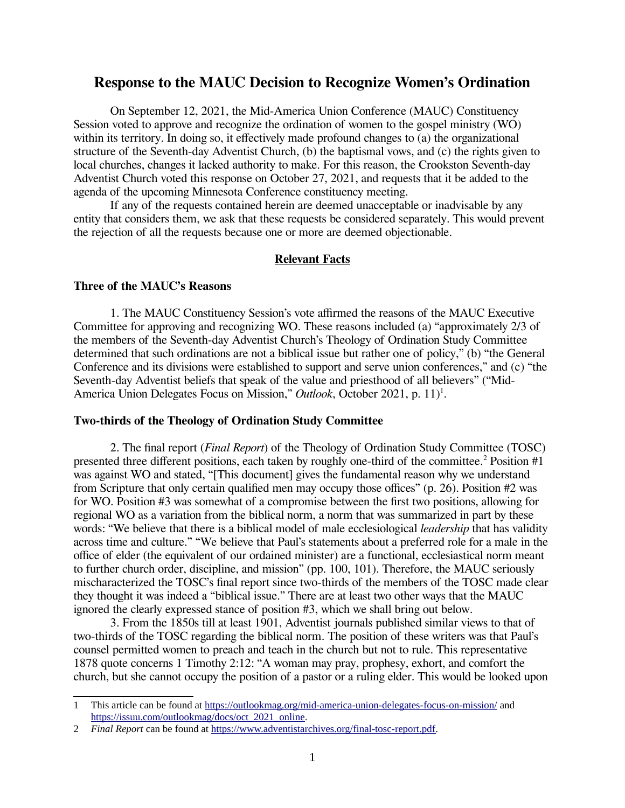# **Response to the MAUC Decision to Recognize Women's Ordination**

On September 12, 2021, the Mid-America Union Conference (MAUC) Constituency Session voted to approve and recognize the ordination of women to the gospel ministry (WO) within its territory. In doing so, it effectively made profound changes to (a) the organizational structure of the Seventh-day Adventist Church, (b) the baptismal vows, and (c) the rights given to local churches, changes it lacked authority to make. For this reason, the Crookston Seventh-day Adventist Church voted this response on October 27, 2021, and requests that it be added to the agenda of the upcoming Minnesota Conference constituency meeting.

If any of the requests contained herein are deemed unacceptable or inadvisable by any entity that considers them, we ask that these requests be considered separately. This would prevent the rejection of all the requests because one or more are deemed objectionable.

## **Relevant Facts**

#### **Three of the MAUC's Reasons**

1. The MAUC Constituency Session's vote affirmed the reasons of the MAUC Executive Committee for approving and recognizing WO. These reasons included (a) "approximately 2/3 of the members of the Seventh-day Adventist Church's Theology of Ordination Study Committee determined that such ordinations are not a biblical issue but rather one of policy," (b) "the General Conference and its divisions were established to support and serve union conferences," and (c) "the Seventh-day Adventist beliefs that speak of the value and priesthood of all believers" ("Mid-America Union Delegates Focus on Mission," Outlook, October 2021, p. 11)<sup>1</sup>.

#### **Two-thirds of the Theology of Ordination Study Committee**

2. The final report (*Final Report*) of the Theology of Ordination Study Committee (TOSC) presented three different positions, each taken by roughly one-third of the committee.<sup>2</sup> Position #1 was against WO and stated, "[This document] gives the fundamental reason why we understand from Scripture that only certain qualified men may occupy those offices" (p. 26). Position #2 was for WO. Position #3 was somewhat of a compromise between the first two positions, allowing for regional WO as a variation from the biblical norm, a norm that was summarized in part by these words: "We believe that there is a biblical model of male ecclesiological *leadership* that has validity across time and culture." "We believe that Paul's statements about a preferred role for a male in the office of elder (the equivalent of our ordained minister) are a functional, ecclesiastical norm meant to further church order, discipline, and mission" (pp. 100, 101). Therefore, the MAUC seriously mischaracterized the TOSC's final report since two-thirds of the members of the TOSC made clear they thought it was indeed a "biblical issue." There are at least two other ways that the MAUC ignored the clearly expressed stance of position #3, which we shall bring out below.

3. From the 1850s till at least 1901, Adventist journals published similar views to that of two-thirds of the TOSC regarding the biblical norm. The position of these writers was that Paul's counsel permitted women to preach and teach in the church but not to rule. This representative 1878 quote concerns 1 Timothy 2:12: "A woman may pray, prophesy, exhort, and comfort the church, but she cannot occupy the position of a pastor or a ruling elder. This would be looked upon

<sup>1</sup> This article can be found at https://outlookmag.org/mid-america-union-delegates-focus-on-mission/ and https://issuu.com/outlookmag/docs/oct\_2021\_online.

<sup>2</sup> *Final Report* can be found at https://www.adventistarchives.org/final-tosc-report.pdf.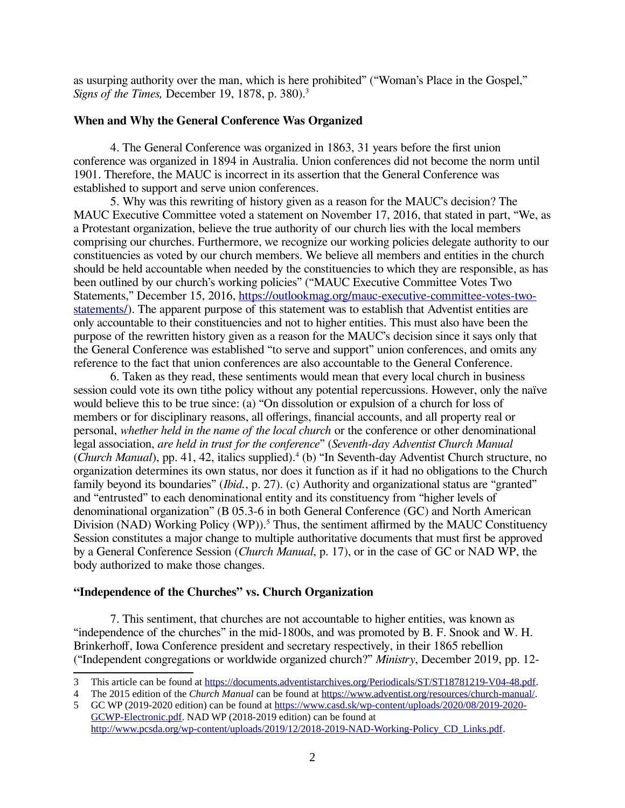as usurping authority over the man, which is here prohibited" ("Woman's Place in the Gospel," *Signs of the Times,* December 19, 1878, p. 380).<sup>3</sup>

## **When and Why the General Conference Was Organized**

4. The General Conference was organized in 1863, 31 years before the first union conference was organized in 1894 in Australia. Union conferences did not become the norm until 1901. Therefore, the MAUC is incorrect in its assertion that the General Conference was established to support and serve union conferences.

5. Why was this rewriting of history given as a reason for the MAUC's decision? The MAUC Executive Committee voted a statement on November 17, 2016, that stated in part, "We, as a Protestant organization, believe the true authority of our church lies with the local members comprising our churches. Furthermore, we recognize our working policies delegate authority to our constituencies as voted by our church members. We believe all members and entities in the church should be held accountable when needed by the constituencies to which they are responsible, as has been outlined by our church's working policies" ("MAUC Executive Committee Votes Two Statements," December 15, 2016, https://outlookmag.org/mauc-executive-committee-votes-twostatements/). The apparent purpose of this statement was to establish that Adventist entities are only accountable to their constituencies and not to higher entities. This must also have been the purpose of the rewritten history given as a reason for the MAUC's decision since it says only that the General Conference was established "to serve and support" union conferences, and omits any reference to the fact that union conferences are also accountable to the General Conference.

6. Taken as they read, these sentiments would mean that every local church in business session could vote its own tithe policy without any potential repercussions. However, only the naïve would believe this to be true since: (a) "On dissolution or expulsion of a church for loss of members or for disciplinary reasons, all offerings, financial accounts, and all property real or personal, *whether held in the name of the local church* or the conference or other denominational legal association, *are held in trust for the conference*" (*Seventh-day Adventist Church Manual* (*Church Manual*), pp. 41, 42, italics supplied).<sup>4</sup> (b) "In Seventh-day Adventist Church structure, no organization determines its own status, nor does it function as if it had no obligations to the Church family beyond its boundaries" (*Ibid.*, p. 27). (c) Authority and organizational status are "granted" and "entrusted" to each denominational entity and its constituency from "higher levels of denominational organization" (B 05.3-6 in both General Conference (GC) and North American Division (NAD) Working Policy (WP)).<sup>5</sup> Thus, the sentiment affirmed by the MAUC Constituency Session constitutes a major change to multiple authoritative documents that must first be approved by a General Conference Session (*Church Manual*, p. 17), or in the case of GC or NAD WP, the body authorized to make those changes.

## **"Independence of the Churches" vs. Church Organization**

7. This sentiment, that churches are not accountable to higher entities, was known as "independence of the churches" in the mid-1800s, and was promoted by B. F. Snook and W. H. Brinkerhoff, Iowa Conference president and secretary respectively, in their 1865 rebellion ("Independent congregations or worldwide organized church?" *Ministry*, December 2019, pp. 12-

<sup>3</sup> This article can be found at https://documents.adventistarchives.org/Periodicals/ST/ST18781219-V04-48.pdf.

<sup>4</sup> The 2015 edition of the *Church Manual* can be found at https://www.adventist.org/resources/church-manual/.

<sup>5</sup> GC WP (2019-2020 edition) can be found at https://www.casd.sk/wp-content/uploads/2020/08/2019-2020- GCWP-Electronic.pdf. NAD WP (2018-2019 edition) can be found at http://www.pcsda.org/wp-content/uploads/2019/12/2018-2019-NAD-Working-Policy\_CD\_Links.pdf.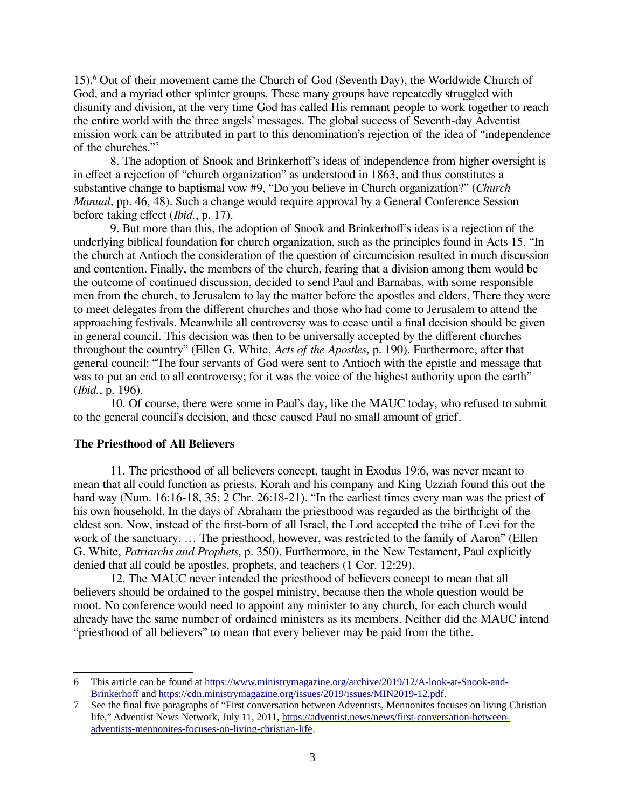15).<sup>6</sup> Out of their movement came the Church of God (Seventh Day), the Worldwide Church of God, and a myriad other splinter groups. These many groups have repeatedly struggled with disunity and division, at the very time God has called His remnant people to work together to reach the entire world with the three angels' messages. The global success of Seventh-day Adventist mission work can be attributed in part to this denomination's rejection of the idea of "independence of the churches."<sup>7</sup>

8. The adoption of Snook and Brinkerhoff's ideas of independence from higher oversight is in effect a rejection of "church organization" as understood in 1863, and thus constitutes a substantive change to baptismal vow #9, "Do you believe in Church organization?" (*Church Manual*, pp. 46, 48). Such a change would require approval by a General Conference Session before taking effect (*Ibid.*, p. 17).

9. But more than this, the adoption of Snook and Brinkerhoff's ideas is a rejection of the underlying biblical foundation for church organization, such as the principles found in Acts 15. "In the church at Antioch the consideration of the question of circumcision resulted in much discussion and contention. Finally, the members of the church, fearing that a division among them would be the outcome of continued discussion, decided to send Paul and Barnabas, with some responsible men from the church, to Jerusalem to lay the matter before the apostles and elders. There they were to meet delegates from the different churches and those who had come to Jerusalem to attend the approaching festivals. Meanwhile all controversy was to cease until a final decision should be given in general council. This decision was then to be universally accepted by the different churches throughout the country" (Ellen G. White, *Acts of the Apostles*, p. 190). Furthermore, after that general council: "The four servants of God were sent to Antioch with the epistle and message that was to put an end to all controversy; for it was the voice of the highest authority upon the earth" (*Ibid.*, p. 196).

10. Of course, there were some in Paul's day, like the MAUC today, who refused to submit to the general council's decision, and these caused Paul no small amount of grief.

## **The Priesthood of All Believers**

11. The priesthood of all believers concept, taught in Exodus 19:6, was never meant to mean that all could function as priests. Korah and his company and King Uzziah found this out the hard way (Num. 16:16-18, 35; 2 Chr. 26:18-21). "In the earliest times every man was the priest of his own household. In the days of Abraham the priesthood was regarded as the birthright of the eldest son. Now, instead of the first-born of all Israel, the Lord accepted the tribe of Levi for the work of the sanctuary. … The priesthood, however, was restricted to the family of Aaron" (Ellen G. White, *Patriarchs and Prophets*, p. 350). Furthermore, in the New Testament, Paul explicitly denied that all could be apostles, prophets, and teachers (1 Cor. 12:29).

12. The MAUC never intended the priesthood of believers concept to mean that all believers should be ordained to the gospel ministry, because then the whole question would be moot. No conference would need to appoint any minister to any church, for each church would already have the same number of ordained ministers as its members. Neither did the MAUC intend "priesthood of all believers" to mean that every believer may be paid from the tithe.

<sup>6</sup> This article can be found at https://www.ministrymagazine.org/archive/2019/12/A-look-at-Snook-and-Brinkerhoff and https://cdn.ministrymagazine.org/issues/2019/issues/MIN2019-12.pdf.

<sup>7</sup> See the final five paragraphs of "First conversation between Adventists, Mennonites focuses on living Christian life," Adventist News Network, July 11, 2011, https://adventist.news/news/first-conversation-betweenadventists-mennonites-focuses-on-living-christian-life.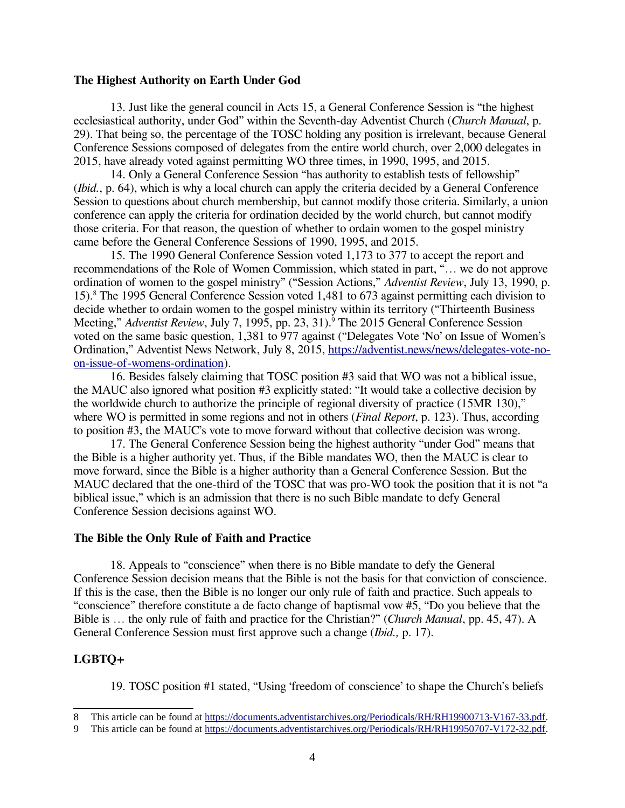#### **The Highest Authority on Earth Under God**

13. Just like the general council in Acts 15, a General Conference Session is "the highest ecclesiastical authority, under God" within the Seventh-day Adventist Church (*Church Manual*, p. 29). That being so, the percentage of the TOSC holding any position is irrelevant, because General Conference Sessions composed of delegates from the entire world church, over 2,000 delegates in 2015, have already voted against permitting WO three times, in 1990, 1995, and 2015.

14. Only a General Conference Session "has authority to establish tests of fellowship" (*Ibid.*, p. 64), which is why a local church can apply the criteria decided by a General Conference Session to questions about church membership, but cannot modify those criteria. Similarly, a union conference can apply the criteria for ordination decided by the world church, but cannot modify those criteria. For that reason, the question of whether to ordain women to the gospel ministry came before the General Conference Sessions of 1990, 1995, and 2015.

15. The 1990 General Conference Session voted 1,173 to 377 to accept the report and recommendations of the Role of Women Commission, which stated in part, "… we do not approve ordination of women to the gospel ministry" ("Session Actions," *Adventist Review*, July 13, 1990, p. 15).<sup>8</sup> The 1995 General Conference Session voted 1,481 to 673 against permitting each division to decide whether to ordain women to the gospel ministry within its territory ("Thirteenth Business Meeting," *Adventist Review*, July 7, 1995, pp. 23, 31).<sup>9</sup> The 2015 General Conference Session voted on the same basic question, 1,381 to 977 against ("Delegates Vote 'No' on Issue of Women's Ordination," Adventist News Network, July 8, 2015, https://adventist.news/news/delegates-vote-noon-issue-of-womens-ordination).

16. Besides falsely claiming that TOSC position #3 said that WO was not a biblical issue, the MAUC also ignored what position #3 explicitly stated: "It would take a collective decision by the worldwide church to authorize the principle of regional diversity of practice (15MR 130)," where WO is permitted in some regions and not in others (*Final Report*, p. 123). Thus, according to position #3, the MAUC's vote to move forward without that collective decision was wrong.

17. The General Conference Session being the highest authority "under God" means that the Bible is a higher authority yet. Thus, if the Bible mandates WO, then the MAUC is clear to move forward, since the Bible is a higher authority than a General Conference Session. But the MAUC declared that the one-third of the TOSC that was pro-WO took the position that it is not "a biblical issue," which is an admission that there is no such Bible mandate to defy General Conference Session decisions against WO.

## **The Bible the Only Rule of Faith and Practice**

18. Appeals to "conscience" when there is no Bible mandate to defy the General Conference Session decision means that the Bible is not the basis for that conviction of conscience. If this is the case, then the Bible is no longer our only rule of faith and practice. Such appeals to "conscience" therefore constitute a de facto change of baptismal vow #5, "Do you believe that the Bible is … the only rule of faith and practice for the Christian?" (*Church Manual*, pp. 45, 47). A General Conference Session must first approve such a change (*Ibid.,* p. 17).

## **LGBTQ+**

19. TOSC position #1 stated, "Using 'freedom of conscience' to shape the Church's beliefs

<sup>8</sup> This article can be found at https://documents.adventistarchives.org/Periodicals/RH/RH19900713-V167-33.pdf.

<sup>9</sup> This article can be found at https://documents.adventistarchives.org/Periodicals/RH/RH19950707-V172-32.pdf.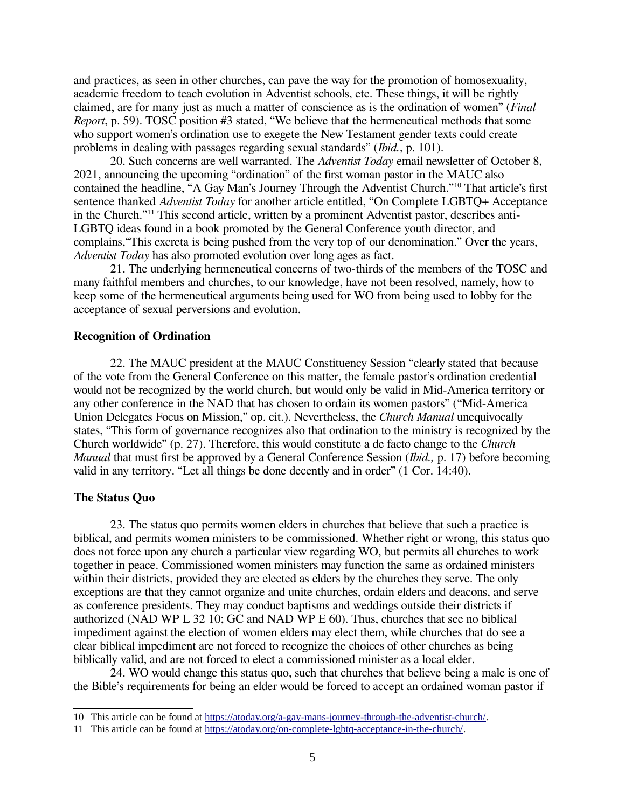and practices, as seen in other churches, can pave the way for the promotion of homosexuality, academic freedom to teach evolution in Adventist schools, etc. These things, it will be rightly claimed, are for many just as much a matter of conscience as is the ordination of women" (*Final Report*, p. 59). TOSC position #3 stated, "We believe that the hermeneutical methods that some who support women's ordination use to exegete the New Testament gender texts could create problems in dealing with passages regarding sexual standards" (*Ibid.*, p. 101).

20. Such concerns are well warranted. The *Adventist Today* email newsletter of October 8, 2021, announcing the upcoming "ordination" of the first woman pastor in the MAUC also contained the headline, "A Gay Man's Journey Through the Adventist Church."<sup>10</sup> That article's first sentence thanked *Adventist Today* for another article entitled, "On Complete LGBTQ+ Acceptance in the Church."11 This second article, written by a prominent Adventist pastor, describes anti-LGBTQ ideas found in a book promoted by the General Conference youth director, and complains,"This excreta is being pushed from the very top of our denomination." Over the years, *Adventist Today* has also promoted evolution over long ages as fact.

21. The underlying hermeneutical concerns of two-thirds of the members of the TOSC and many faithful members and churches, to our knowledge, have not been resolved, namely, how to keep some of the hermeneutical arguments being used for WO from being used to lobby for the acceptance of sexual perversions and evolution.

## **Recognition of Ordination**

22. The MAUC president at the MAUC Constituency Session "clearly stated that because of the vote from the General Conference on this matter, the female pastor's ordination credential would not be recognized by the world church, but would only be valid in Mid-America territory or any other conference in the NAD that has chosen to ordain its women pastors" ("Mid-America Union Delegates Focus on Mission," op. cit.). Nevertheless, the *Church Manual* unequivocally states, "This form of governance recognizes also that ordination to the ministry is recognized by the Church worldwide" (p. 27). Therefore, this would constitute a de facto change to the *Church Manual* that must first be approved by a General Conference Session (*Ibid., p. 17*) before becoming valid in any territory. "Let all things be done decently and in order" (1 Cor. 14:40).

#### **The Status Quo**

23. The status quo permits women elders in churches that believe that such a practice is biblical, and permits women ministers to be commissioned. Whether right or wrong, this status quo does not force upon any church a particular view regarding WO, but permits all churches to work together in peace. Commissioned women ministers may function the same as ordained ministers within their districts, provided they are elected as elders by the churches they serve. The only exceptions are that they cannot organize and unite churches, ordain elders and deacons, and serve as conference presidents. They may conduct baptisms and weddings outside their districts if authorized (NAD WP L 32 10; GC and NAD WP E 60). Thus, churches that see no biblical impediment against the election of women elders may elect them, while churches that do see a clear biblical impediment are not forced to recognize the choices of other churches as being biblically valid, and are not forced to elect a commissioned minister as a local elder.

24. WO would change this status quo, such that churches that believe being a male is one of the Bible's requirements for being an elder would be forced to accept an ordained woman pastor if

<sup>10</sup> This article can be found at https://atoday.org/a-gay-mans-journey-through-the-adventist-church/.

<sup>11</sup> This article can be found at https://atoday.org/on-complete-lgbtq-acceptance-in-the-church/.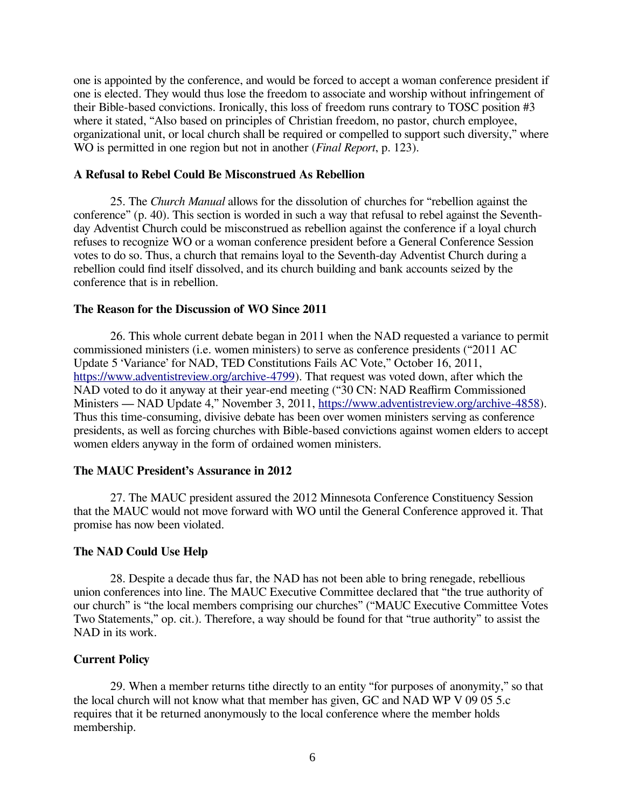one is appointed by the conference, and would be forced to accept a woman conference president if one is elected. They would thus lose the freedom to associate and worship without infringement of their Bible-based convictions. Ironically, this loss of freedom runs contrary to TOSC position #3 where it stated, "Also based on principles of Christian freedom, no pastor, church employee, organizational unit, or local church shall be required or compelled to support such diversity," where WO is permitted in one region but not in another (*Final Report*, p. 123).

## **A Refusal to Rebel Could Be Misconstrued As Rebellion**

25. The *Church Manual* allows for the dissolution of churches for "rebellion against the conference" (p. 40). This section is worded in such a way that refusal to rebel against the Seventhday Adventist Church could be misconstrued as rebellion against the conference if a loyal church refuses to recognize WO or a woman conference president before a General Conference Session votes to do so. Thus, a church that remains loyal to the Seventh-day Adventist Church during a rebellion could find itself dissolved, and its church building and bank accounts seized by the conference that is in rebellion.

#### **The Reason for the Discussion of WO Since 2011**

26. This whole current debate began in 2011 when the NAD requested a variance to permit commissioned ministers (i.e. women ministers) to serve as conference presidents ("2011 AC Update 5 'Variance' for NAD, TED Constitutions Fails AC Vote," October 16, 2011, https://www.adventistreview.org/archive-4799). That request was voted down, after which the NAD voted to do it anyway at their year-end meeting ("30 CN: NAD Reaffirm Commissioned Ministers — NAD Update 4," November 3, 2011, https://www.adventistreview.org/archive-4858). Thus this time-consuming, divisive debate has been over women ministers serving as conference presidents, as well as forcing churches with Bible-based convictions against women elders to accept women elders anyway in the form of ordained women ministers.

## **The MAUC President's Assurance in 2012**

27. The MAUC president assured the 2012 Minnesota Conference Constituency Session that the MAUC would not move forward with WO until the General Conference approved it. That promise has now been violated.

#### **The NAD Could Use Help**

28. Despite a decade thus far, the NAD has not been able to bring renegade, rebellious union conferences into line. The MAUC Executive Committee declared that "the true authority of our church" is "the local members comprising our churches" ("MAUC Executive Committee Votes Two Statements," op. cit.). Therefore, a way should be found for that "true authority" to assist the NAD in its work.

#### **Current Policy**

29. When a member returns tithe directly to an entity "for purposes of anonymity," so that the local church will not know what that member has given, GC and NAD WP V 09 05 5.c requires that it be returned anonymously to the local conference where the member holds membership.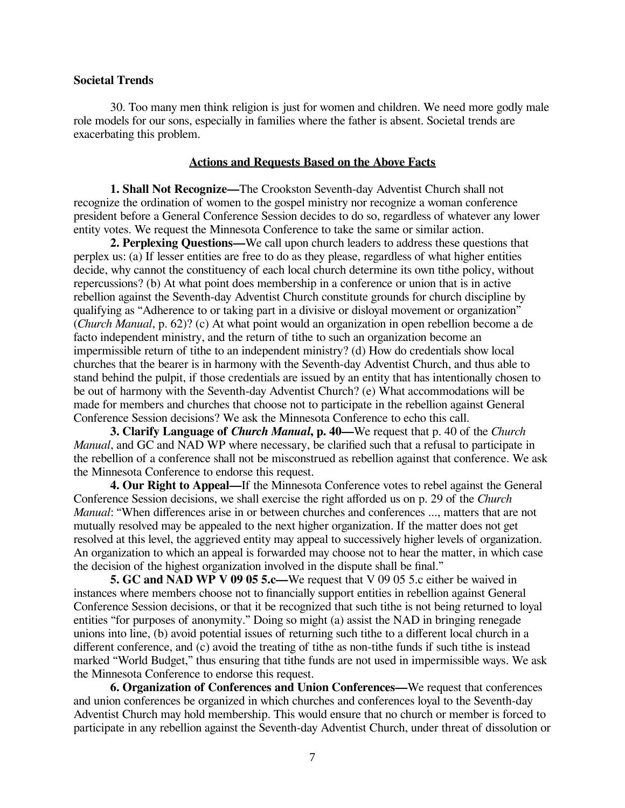### **Societal Trends**

30. Too many men think religion is just for women and children. We need more godly male role models for our sons, especially in families where the father is absent. Societal trends are exacerbating this problem.

## **Actions and Requests Based on the Above Facts**

**1. Shall Not Recognize―**The Crookston Seventh-day Adventist Church shall not recognize the ordination of women to the gospel ministry nor recognize a woman conference president before a General Conference Session decides to do so, regardless of whatever any lower entity votes. We request the Minnesota Conference to take the same or similar action.

**2. Perplexing Questions―**We call upon church leaders to address these questions that perplex us: (a) If lesser entities are free to do as they please, regardless of what higher entities decide, why cannot the constituency of each local church determine its own tithe policy, without repercussions? (b) At what point does membership in a conference or union that is in active rebellion against the Seventh-day Adventist Church constitute grounds for church discipline by qualifying as "Adherence to or taking part in a divisive or disloyal movement or organization" (*Church Manual*, p. 62)? (c) At what point would an organization in open rebellion become a de facto independent ministry, and the return of tithe to such an organization become an impermissible return of tithe to an independent ministry? (d) How do credentials show local churches that the bearer is in harmony with the Seventh-day Adventist Church, and thus able to stand behind the pulpit, if those credentials are issued by an entity that has intentionally chosen to be out of harmony with the Seventh-day Adventist Church? (e) What accommodations will be made for members and churches that choose not to participate in the rebellion against General Conference Session decisions? We ask the Minnesota Conference to echo this call.

**3. Clarify Language of** *Church Manual***, p. 40―**We request that p. 40 of the *Church Manual*, and GC and NAD WP where necessary, be clarified such that a refusal to participate in the rebellion of a conference shall not be misconstrued as rebellion against that conference. We ask the Minnesota Conference to endorse this request.

**4. Our Right to Appeal―**If the Minnesota Conference votes to rebel against the General Conference Session decisions, we shall exercise the right afforded us on p. 29 of the *Church Manual*: "When differences arise in or between churches and conferences ..., matters that are not mutually resolved may be appealed to the next higher organization. If the matter does not get resolved at this level, the aggrieved entity may appeal to successively higher levels of organization. An organization to which an appeal is forwarded may choose not to hear the matter, in which case the decision of the highest organization involved in the dispute shall be final."

**5. GC and NAD WP V 09 05 5.c―**We request that V 09 05 5.c either be waived in instances where members choose not to financially support entities in rebellion against General Conference Session decisions, or that it be recognized that such tithe is not being returned to loyal entities "for purposes of anonymity." Doing so might (a) assist the NAD in bringing renegade unions into line, (b) avoid potential issues of returning such tithe to a different local church in a different conference, and (c) avoid the treating of tithe as non-tithe funds if such tithe is instead marked "World Budget," thus ensuring that tithe funds are not used in impermissible ways. We ask the Minnesota Conference to endorse this request.

**6. Organization of Conferences and Union Conferences―**We request that conferences and union conferences be organized in which churches and conferences loyal to the Seventh-day Adventist Church may hold membership. This would ensure that no church or member is forced to participate in any rebellion against the Seventh-day Adventist Church, under threat of dissolution or